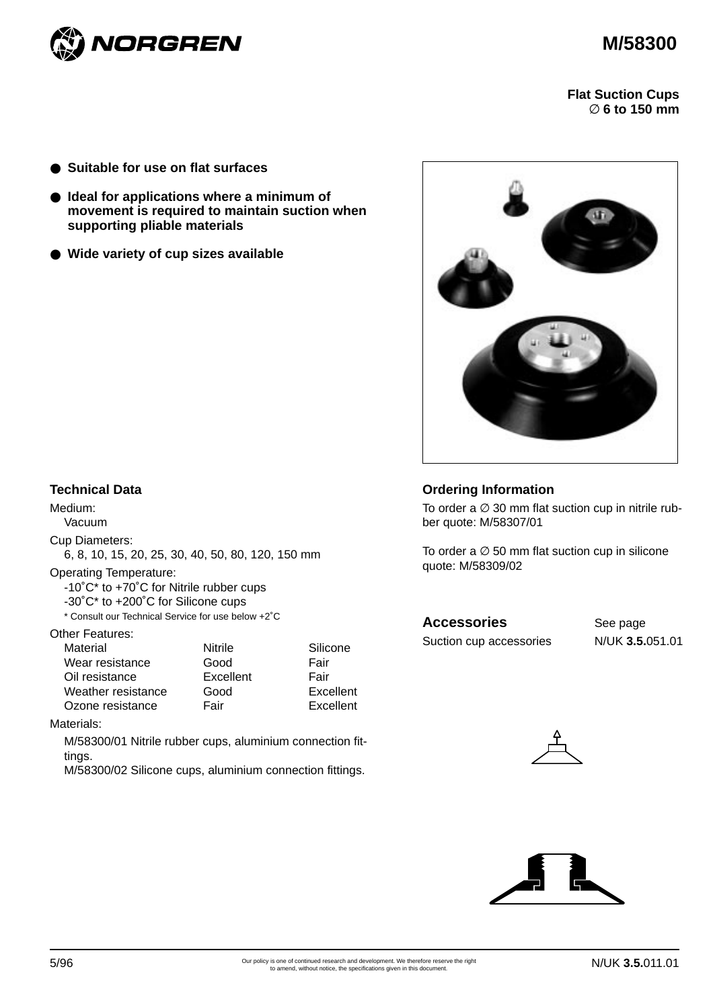



**Flat Suction Cups**  ∅ **6 to 150 mm**

- **Suitable for use on flat surfaces**
- **Ideal for applications where a minimum of movement is required to maintain suction when supporting pliable materials**
- **Wide variety of cup sizes available**



### **Technical Data**

Medium: Vacuum

Cup Diameters:

6, 8, 10, 15, 20, 25, 30, 40, 50, 80, 120, 150 mm

Operating Temperature:

-10˚C\* to +70˚C for Nitrile rubber cups

-30˚C\* to +200˚C for Silicone cups

\* Consult our Technical Service for use below +2˚C

#### Other Features:

| Material           | Nitrile   | Silicone  |
|--------------------|-----------|-----------|
| Wear resistance    | Good      | Fair      |
| Oil resistance     | Excellent | Fair      |
| Weather resistance | Good      | Excellent |
| Ozone resistance   | Fair      | Excellent |

Materials:

M/58300/01 Nitrile rubber cups, aluminium connection fittings.

M/58300/02 Silicone cups, aluminium connection fittings.

# **Ordering Information**

To order a  $\varnothing$  30 mm flat suction cup in nitrile rubber quote: M/58307/01

To order a  $\varnothing$  50 mm flat suction cup in silicone quote: M/58309/02

# Accessories See page

Suction cup accessories N/UK **3.5.**051.01